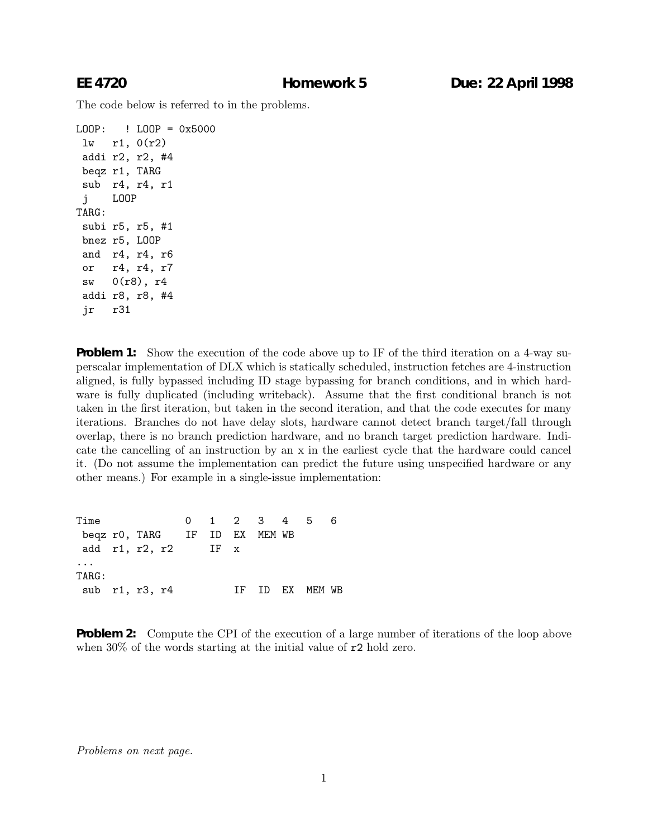The code below is referred to in the problems.

```
LOOP: ! LOOP = 0x5000
 lw r1, 0(r2)
addi r2, r2, #4
 beqz r1, TARG
sub r4, r4, r1
 j LOOP
TARG:
 subi r5, r5, #1
bnez r5, LOOP
 and r4, r4, r6
 or r4, r4, r7
 sw 0(r8), r4
 addi r8, r8, #4
 jr r31
```
**Problem 1:** Show the execution of the code above up to IF of the third iteration on a 4-way superscalar implementation of DLX which is statically scheduled, instruction fetches are 4-instruction aligned, is fully bypassed including ID stage bypassing for branch conditions, and in which hardware is fully duplicated (including writeback). Assume that the first conditional branch is not taken in the first iteration, but taken in the second iteration, and that the code executes for many iterations. Branches do not have delay slots, hardware cannot detect branch target/fall through overlap, there is no branch prediction hardware, and no branch target prediction hardware. Indicate the cancelling of an instruction by an x in the earliest cycle that the hardware could cancel it. (Do not assume the implementation can predict the future using unspecified hardware or any other means.) For example in a single-issue implementation:

| Time                  |                                     |  |  |     | 0 1 2 3 4 5 |        |  |
|-----------------------|-------------------------------------|--|--|-----|-------------|--------|--|
|                       | beqz r0, TARG    IF  ID  EX  MEM WB |  |  |     |             |        |  |
| add $r1, r2, r2$ IF x |                                     |  |  |     |             |        |  |
|                       |                                     |  |  |     |             |        |  |
| TARG:                 |                                     |  |  |     |             |        |  |
| sub r1, r3, r4        |                                     |  |  | TF. | TD F.X      | MFM WR |  |

**Problem 2:** Compute the CPI of the execution of a large number of iterations of the loop above when 30% of the words starting at the initial value of  $r^2$  hold zero.

Problems on next page.